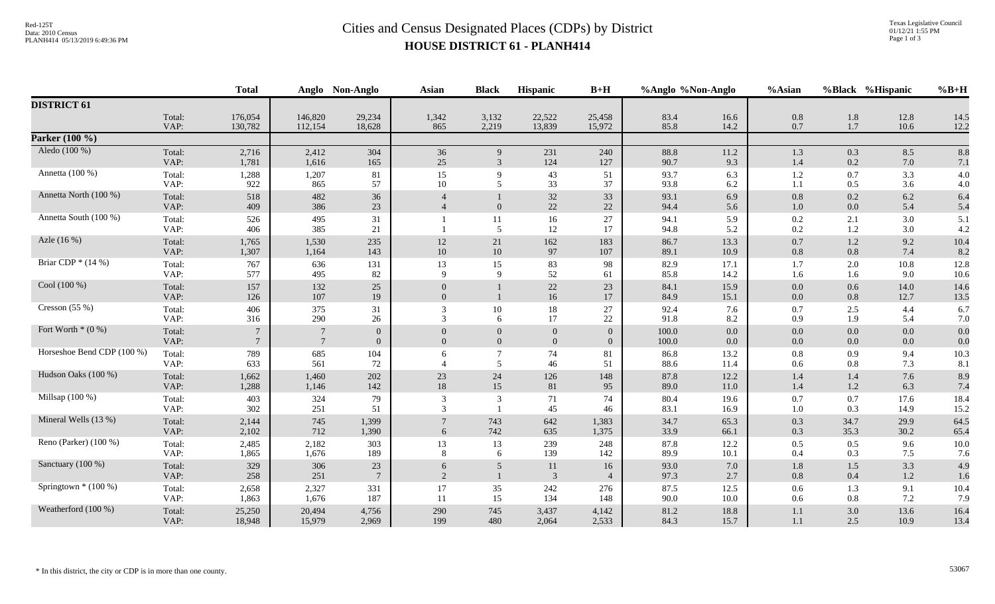## Red-125T<br>Data: 2010 Census<br>PLANH414 05/13/2019 6:49:36 PM<br>**Cities and Census Designated Places (CDPs)** by District **HOUSE DISTRICT 61 - PLANH414**

|                            |                | <b>Total</b>                       |                    | Anglo Non-Anglo                  | <b>Asian</b>                     | <b>Black</b>             | Hispanic                         | $B+H$                            |                | %Anglo %Non-Anglo  | %Asian             |              | %Black %Hispanic | $%B+H$       |
|----------------------------|----------------|------------------------------------|--------------------|----------------------------------|----------------------------------|--------------------------|----------------------------------|----------------------------------|----------------|--------------------|--------------------|--------------|------------------|--------------|
| <b>DISTRICT 61</b>         |                |                                    |                    |                                  |                                  |                          |                                  |                                  |                |                    |                    |              |                  |              |
|                            | Total:<br>VAP: | 176,054<br>130,782                 | 146,820<br>112,154 | 29,234<br>18,628                 | 1,342<br>865                     | 3,132<br>2,219           | 22,522<br>13,839                 | 25,458<br>15,972                 | 83.4<br>85.8   | 16.6<br>14.2       | 0.8<br>0.7         | 1.8<br>1.7   | 12.8<br>10.6     | 14.5<br>12.2 |
| Parker $(100\%$            |                |                                    |                    |                                  |                                  |                          |                                  |                                  |                |                    |                    |              |                  |              |
| Aledo (100 %)              | Total:<br>VAP: | 2,716<br>1,781                     | 2,412<br>1,616     | 304<br>165                       | 36<br>25                         | 9<br>3                   | 231<br>124                       | 240<br>127                       | 88.8<br>90.7   | 11.2<br>9.3        | 1.3<br>1.4         | 0.3<br>0.2   | 8.5<br>7.0       | 8.8<br>7.1   |
| Annetta (100 %)            | Total:<br>VAP: | 1,288<br>922                       | 1,207<br>865       | 81<br>57                         | 15<br>10                         | 9<br>5                   | 43<br>33                         | 51<br>37                         | 93.7<br>93.8   | 6.3<br>$6.2\,$     | 1.2<br>1.1         | 0.7<br>0.5   | 3.3<br>3.6       | 4.0<br>4.0   |
| Annetta North (100 %)      | Total:<br>VAP: | 518<br>409                         | 482<br>386         | 36<br>23                         |                                  | $\Omega$                 | 32<br>22                         | 33<br>$22\,$                     | 93.1<br>94.4   | 6.9<br>5.6         | 0.8<br>1.0         | 0.2<br>0.0   | $6.2\,$<br>5.4   | 6.4<br>5.4   |
| Annetta South (100 %)      | Total:<br>VAP: | 526<br>406                         | 495<br>385         | 31<br>21                         |                                  | 11<br>5                  | $16\,$<br>12                     | 27<br>17                         | 94.1<br>94.8   | 5.9<br>5.2         | 0.2<br>0.2         | 2.1<br>1.2   | 3.0<br>3.0       | 5.1<br>4.2   |
| Azle (16 %)                | Total:<br>VAP: | 1,765<br>1,307                     | 1,530<br>1,164     | 235<br>143                       | 12<br>10                         | 21<br>10                 | 162<br>97                        | 183<br>107                       | 86.7<br>89.1   | 13.3<br>10.9       | 0.7<br>0.8         | 1.2<br>0.8   | 9.2<br>7.4       | 10.4<br>8.2  |
| Briar CDP $*(14\%)$        | Total:<br>VAP: | 767<br>577                         | 636<br>495         | 131<br>82                        | 13<br>$\mathbf{Q}$               | 15<br>9                  | 83<br>52                         | 98<br>61                         | 82.9<br>85.8   | 17.1<br>14.2       | 1.7<br>1.6         | 2.0<br>1.6   | $10.8\,$<br>9.0  | 12.8<br>10.6 |
| Cool (100 %)               | Total:<br>VAP: | 157<br>126                         | 132<br>107         | 25<br>19                         | $\overline{0}$<br>$\overline{0}$ |                          | $22\,$<br>16                     | 23<br>17                         | 84.1<br>84.9   | 15.9<br>15.1       | $0.0\,$<br>$0.0\,$ | 0.6<br>0.8   | 14.0<br>12.7     | 14.6<br>13.5 |
| Cresson (55 %)             | Total:<br>VAP: | 406<br>316                         | 375<br>290         | 31<br>$26\,$                     | 3<br>3                           | 10<br>6                  | 18<br>17                         | 27<br>$22\,$                     | 92.4<br>91.8   | 7.6<br>8.2         | 0.7<br>0.9         | 2.5<br>1.9   | 4.4<br>5.4       | 6.7<br>7.0   |
| Fort Worth $*(0\%)$        | Total:<br>VAP: | $7\phantom{.0}$<br>$7\phantom{.0}$ | $7\phantom{.0}$    | $\overline{0}$<br>$\overline{0}$ | $\overline{0}$<br>$\overline{0}$ | $\Omega$<br>$\mathbf{0}$ | $\overline{0}$<br>$\overline{0}$ | $\overline{0}$<br>$\overline{0}$ | 100.0<br>100.0 | $0.0\,$<br>$0.0\,$ | 0.0<br>0.0         | 0.0<br>0.0   | 0.0<br>0.0       | 0.0<br>0.0   |
| Horseshoe Bend CDP (100 %) | Total:<br>VAP: | 789<br>633                         | 685<br>561         | 104<br>72                        | 6                                | $\overline{7}$<br>5      | 74<br>46                         | 81<br>51                         | 86.8<br>88.6   | 13.2<br>11.4       | $0.8\,$<br>0.6     | 0.9<br>0.8   | 9.4<br>7.3       | 10.3<br>8.1  |
| Hudson Oaks (100 %)        | Total:<br>VAP: | 1,662<br>1,288                     | 1,460<br>1,146     | 202<br>142                       | 23<br>18                         | 24<br>15                 | 126<br>81                        | 148<br>95                        | 87.8<br>89.0   | 12.2<br>$11.0\,$   | 1.4<br>1.4         | 1.4<br>1.2   | 7.6<br>6.3       | 8.9<br>7.4   |
| Millsap (100 %)            | Total:<br>VAP: | 403<br>302                         | 324<br>251         | 79<br>51                         | 3<br>3                           | 3                        | 71<br>45                         | 74<br>46                         | 80.4<br>83.1   | 19.6<br>16.9       | 0.7<br>1.0         | 0.7<br>0.3   | 17.6<br>14.9     | 18.4<br>15.2 |
| Mineral Wells (13 %)       | Total:<br>VAP: | 2,144<br>2,102                     | 745<br>712         | 1,399<br>1,390                   | 6                                | 743<br>742               | 642<br>635                       | 1,383<br>1,375                   | 34.7<br>33.9   | 65.3<br>66.1       | 0.3<br>0.3         | 34.7<br>35.3 | 29.9<br>30.2     | 64.5<br>65.4 |
| Reno (Parker) (100 %)      | Total:<br>VAP: | 2,485<br>1,865                     | 2,182<br>1,676     | 303<br>189                       | 13<br>8                          | 13<br>6                  | 239<br>139                       | 248<br>142                       | 87.8<br>89.9   | 12.2<br>10.1       | 0.5<br>0.4         | 0.5<br>0.3   | 9.6<br>7.5       | 10.0<br>7.6  |
| Sanctuary (100 %)          | Total:<br>VAP: | 329<br>258                         | 306<br>251         | 23<br>$7\phantom{.0}$            | 6<br>2                           | 5                        | 11<br>$\overline{3}$             | 16<br>$\overline{4}$             | 93.0<br>97.3   | $7.0\,$<br>2.7     | 1.8<br>0.8         | 1.5<br>0.4   | 3.3<br>$1.2\,$   | 4.9<br>1.6   |
| Springtown $*(100\%)$      | Total:<br>VAP: | 2,658<br>1,863                     | 2,327<br>1,676     | 331<br>187                       | 17<br>11                         | 35<br>15                 | 242<br>134                       | 276<br>148                       | 87.5<br>90.0   | 12.5<br>10.0       | 0.6<br>0.6         | 1.3<br>0.8   | 9.1<br>7.2       | 10.4<br>7.9  |
| Weatherford (100 %)        | Total:<br>VAP: | 25,250<br>18,948                   | 20,494<br>15,979   | 4,756<br>2,969                   | 290<br>199                       | 745<br>480               | 3,437<br>2,064                   | 4,142<br>2,533                   | 81.2<br>84.3   | 18.8<br>15.7       | 1.1<br>1.1         | 3.0<br>2.5   | 13.6<br>10.9     | 16.4<br>13.4 |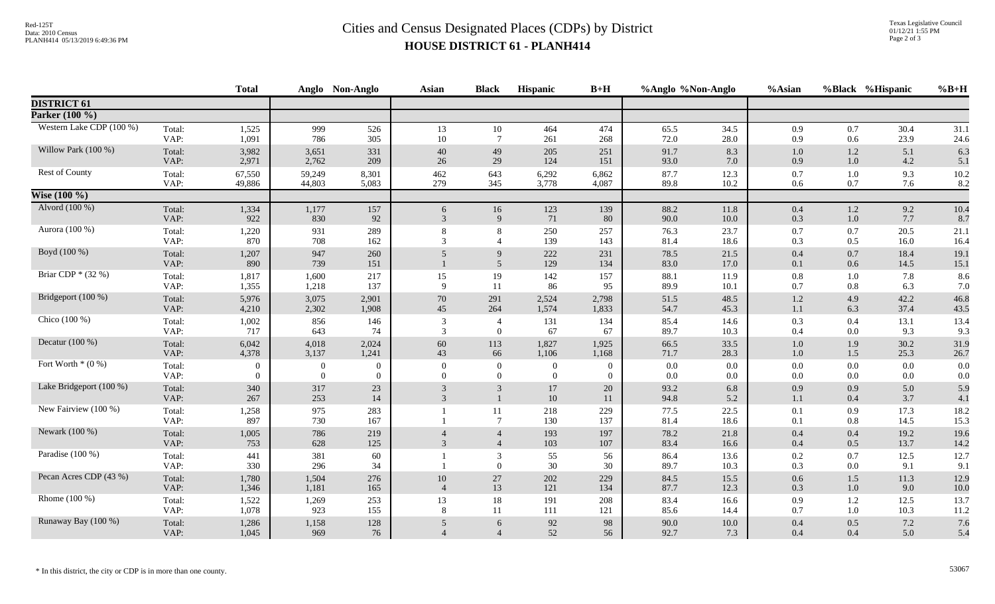## Red-125T<br>Data: 2010 Census<br>PLANH414 05/13/2019 6:49:36 PM<br>**Cities and Census Designated Places (CDPs)** by District **HOUSE DISTRICT 61 - PLANH414**

|                          |                | <b>Total</b>     |                | Anglo Non-Anglo | <b>Asian</b>             | <b>Black</b>                     | <b>Hispanic</b> | $B+H$            | %Anglo %Non-Anglo |              | %Asian     |            | %Black %Hispanic | $%B+H$       |
|--------------------------|----------------|------------------|----------------|-----------------|--------------------------|----------------------------------|-----------------|------------------|-------------------|--------------|------------|------------|------------------|--------------|
| <b>DISTRICT 61</b>       |                |                  |                |                 |                          |                                  |                 |                  |                   |              |            |            |                  |              |
| Parker (100 %)           |                |                  |                |                 |                          |                                  |                 |                  |                   |              |            |            |                  |              |
| Western Lake CDP (100 %) | Total:         | 1,525            | 999            | 526             | 13                       | 10                               | 464             | 474              | 65.5              | 34.5         | 0.9        | 0.7        | 30.4             | 31.1         |
|                          | VAP:           | 1,091            | 786            | 305             | 10                       | $\overline{7}$                   | 261             | 268              | 72.0              | $28.0\,$     | 0.9        | 0.6        | 23.9             | 24.6         |
| Willow Park (100 %)      | Total:         | 3,982            | 3,651          | 331             | 40                       | 49                               | 205             | 251              | 91.7              | 8.3          | $1.0\,$    | $1.2\,$    | 5.1              | 6.3          |
|                          | VAP:           | 2,971            | 2,762          | 209             | 26                       | 29                               | 124             | 151              | 93.0              | 7.0          | 0.9        | $1.0\,$    | 4.2              | 5.1          |
| <b>Rest of County</b>    | Total:         | 67,550           | 59,249         | 8,301           | 462                      | 643                              | 6,292           | 6,862            | 87.7              | 12.3         | 0.7        | 1.0        | 9.3              | 10.2         |
|                          | VAP:           | 49,886           | 44,803         | 5,083           | 279                      | 345                              | 3,778           | 4,087            | 89.8              | 10.2         | 0.6        | 0.7        | 7.6              | 8.2          |
| <b>Wise</b> $(100\%)$    |                |                  |                |                 |                          |                                  |                 |                  |                   |              |            |            |                  |              |
| Alvord (100 %)           | Total:         | 1,334            | 1,177          | 157             | 6                        | 16                               | 123             | 139              | 88.2              | 11.8         | 0.4        | $1.2\,$    | 9.2              | 10.4         |
|                          | VAP:           | 922              | 830            | 92              | $\mathfrak{Z}$           | 9                                | 71              | 80               | 90.0              | 10.0         | 0.3        | 1.0        | 7.7              | 8.7          |
| Aurora (100 %)           | Total:<br>VAP: | 1,220<br>870     | 931<br>708     | 289<br>162      | 8<br>3                   | 8                                | 250<br>139      | 257<br>143       | 76.3<br>81.4      | 23.7<br>18.6 | 0.7<br>0.3 | 0.7<br>0.5 | 20.5<br>16.0     | 21.1<br>16.4 |
| Boyd (100 %)             | Total:<br>VAP: | 1,207<br>890     | 947<br>739     | 260<br>151      | 5                        | 9<br>$\overline{5}$              | 222<br>129      | 231<br>134       | 78.5<br>83.0      | 21.5<br>17.0 | 0.4<br>0.1 | 0.7<br>0.6 | 18.4<br>14.5     | 19.1<br>15.1 |
| Briar CDP $*(32\%)$      | Total:         | 1,817            | 1,600          | 217             | 15                       | 19                               | 142             | 157              | 88.1              | 11.9         | 0.8        | 1.0        | 7.8              | 8.6          |
|                          | VAP:           | 1,355            | 1,218          | 137             | 9                        | 11                               | 86              | 95               | 89.9              | 10.1         | 0.7        | 0.8        | 6.3              | 7.0          |
| Bridgeport (100 %)       | Total:         | 5,976            | 3,075          | 2,901           | 70                       | 291                              | 2,524           | 2,798            | 51.5              | 48.5         | 1.2        | 4.9        | 42.2             | 46.8         |
|                          | VAP:           | 4,210            | 2,302          | 1,908           | 45                       | 264                              | 1,574           | 1,833            | 54.7              | 45.3         | 1.1        | 6.3        | 37.4             | 43.5         |
| Chico (100 %)            | Total:         | 1,002            | 856            | 146             | 3                        | $\overline{4}$                   | 131             | 134              | 85.4              | 14.6         | 0.3        | 0.4        | 13.1             | 13.4         |
|                          | VAP:           | 717              | 643            | 74              | 3                        | $\theta$                         | 67              | 67               | 89.7              | 10.3         | 0.4        | 0.0        | 9.3              | 9.3          |
| Decatur $(100\%)$        | Total:         | 6,042            | 4,018          | 2,024           | 60                       | 113                              | 1,827           | 1,925            | 66.5              | 33.5         | 1.0        | 1.9        | 30.2             | 31.9         |
|                          | VAP:           | 4,378            | 3,137          | 1,241           | 43                       | 66                               | 1,106           | 1,168            | 71.7              | 28.3         | 1.0        | 1.5        | 25.3             | 26.7         |
| Fort Worth $*(0\%)$      | Total:         | $\boldsymbol{0}$ | $\overline{0}$ | $\overline{0}$  | $\overline{0}$           | $\boldsymbol{0}$                 | $\overline{0}$  | $\boldsymbol{0}$ | 0.0               | 0.0          | $0.0\,$    | 0.0        | 0.0              | 0.0          |
|                          | VAP:           | $\theta$         | $\Omega$       | $\overline{0}$  | $\Omega$                 | $\theta$                         | $\Omega$        | $\Omega$         | 0.0               | 0.0          | $0.0\,$    | $0.0\,$    | 0.0              | 0.0          |
| Lake Bridgeport (100 %)  | Total:<br>VAP: | 340<br>267       | 317<br>253     | 23<br>14        | 3<br>$\mathfrak{Z}$      | 3                                | 17<br>10        | 20<br>11         | 93.2<br>94.8      | 6.8<br>5.2   | 0.9<br>1.1 | 0.9<br>0.4 | 5.0<br>3.7       | 5.9<br>4.1   |
| New Fairview (100 %)     | Total:<br>VAP: | 1,258<br>897     | 975<br>730     | 283<br>167      |                          | 11<br>$\overline{7}$             | 218<br>130      | 229<br>137       | 77.5<br>81.4      | 22.5<br>18.6 | 0.1<br>0.1 | 0.9<br>0.8 | 17.3<br>14.5     | 18.2<br>15.3 |
| Newark (100 %)           | Total:<br>VAP: | 1,005<br>753     | 786<br>628     | 219<br>125      | 3                        | $\overline{4}$<br>$\overline{4}$ | 193<br>103      | 197<br>107       | 78.2<br>83.4      | 21.8<br>16.6 | 0.4<br>0.4 | 0.4<br>0.5 | 19.2<br>13.7     | 19.6<br>14.2 |
| Paradise (100 %)         | Total:<br>VAP: | 441<br>330       | 381<br>296     | 60<br>34        |                          | 3<br>$\overline{0}$              | 55<br>30        | 56<br>30         | 86.4<br>89.7      | 13.6<br>10.3 | 0.2<br>0.3 | 0.7<br>0.0 | 12.5<br>9.1      | 12.7<br>9.1  |
| Pecan Acres CDP (43 %)   | Total:         | 1,780            | 1,504          | 276             | 10                       | 27                               | 202             | 229              | 84.5              | 15.5         | 0.6        | 1.5        | 11.3             | 12.9         |
|                          | VAP:           | 1,346            | 1,181          | 165             | $\overline{4}$           | 13                               | 121             | 134              | 87.7              | 12.3         | 0.3        | 1.0        | 9.0              | 10.0         |
| Rhome (100 %)            | Total:         | 1,522            | 1,269          | 253             | 13                       | $18\,$                           | 191             | 208              | 83.4              | 16.6         | 0.9        | 1.2        | 12.5             | 13.7         |
|                          | VAP:           | 1,078            | 923            | 155             | 8                        | 11                               | 111             | 121              | 85.6              | 14.4         | 0.7        | 1.0        | 10.3             | 11.2         |
| Runaway Bay (100 %)      | Total:         | 1,286            | 1,158          | 128             | 5                        | 6                                | $92\,$          | 98               | 90.0              | 10.0         | 0.4        | 0.5        | 7.2              | 7.6          |
|                          | VAP:           | 1,045            | 969            | 76              | $\overline{\mathcal{A}}$ | $\overline{4}$                   | 52              | 56               | 92.7              | 7.3          | 0.4        | 0.4        | 5.0              | 5.4          |